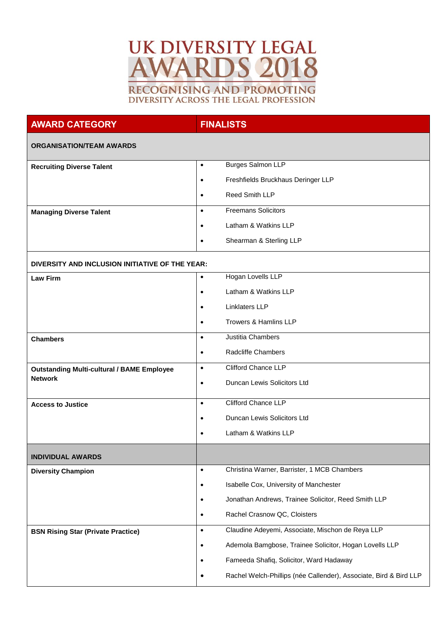## **UK DIVERSITY LEGAL AWARDS 2018 RECOGNISING AND PROMOTING** DIVERSITY ACROSS THE LEGAL PROFESSION

## **AWARD CATEGORY FINALISTS**

## **ORGANISATION/TEAM AWARDS**

| <b>Recruiting Diverse Talent</b> | $\bullet$ | <b>Burges Salmon LLP</b>           |
|----------------------------------|-----------|------------------------------------|
|                                  | $\bullet$ | Freshfields Bruckhaus Deringer LLP |
|                                  | $\bullet$ | <b>Reed Smith LLP</b>              |
| <b>Managing Diverse Talent</b>   | $\bullet$ | <b>Freemans Solicitors</b>         |
|                                  | $\bullet$ | Latham & Watkins LLP               |
|                                  | $\bullet$ | Shearman & Sterling LLP            |

## **DIVERSITY AND INCLUSION INITIATIVE OF THE YEAR:**

| <b>Law Firm</b>                                   | Hogan Lovells LLP<br>$\bullet$                                                 |  |
|---------------------------------------------------|--------------------------------------------------------------------------------|--|
|                                                   | Latham & Watkins LLP<br>$\bullet$                                              |  |
|                                                   | Linklaters LLP<br>$\bullet$                                                    |  |
|                                                   | Trowers & Hamlins LLP<br>$\bullet$                                             |  |
| <b>Chambers</b>                                   | Justitia Chambers<br>$\bullet$                                                 |  |
|                                                   | <b>Radcliffe Chambers</b><br>$\bullet$                                         |  |
| <b>Outstanding Multi-cultural / BAME Employee</b> | Clifford Chance LLP<br>$\bullet$                                               |  |
| <b>Network</b>                                    | Duncan Lewis Solicitors Ltd<br>$\bullet$                                       |  |
| <b>Access to Justice</b>                          | Clifford Chance LLP<br>$\bullet$                                               |  |
|                                                   | Duncan Lewis Solicitors Ltd<br>$\bullet$                                       |  |
|                                                   | Latham & Watkins LLP<br>$\bullet$                                              |  |
| <b>INDIVIDUAL AWARDS</b>                          |                                                                                |  |
| <b>Diversity Champion</b>                         | Christina Warner, Barrister, 1 MCB Chambers<br>$\bullet$                       |  |
|                                                   | Isabelle Cox, University of Manchester<br>$\bullet$                            |  |
|                                                   | Jonathan Andrews, Trainee Solicitor, Reed Smith LLP<br>$\bullet$               |  |
|                                                   | Rachel Crasnow QC, Cloisters<br>$\bullet$                                      |  |
| <b>BSN Rising Star (Private Practice)</b>         | Claudine Adeyemi, Associate, Mischon de Reya LLP<br>$\bullet$                  |  |
|                                                   | Ademola Bamgbose, Trainee Solicitor, Hogan Lovells LLP<br>$\bullet$            |  |
|                                                   | Fameeda Shafiq, Solicitor, Ward Hadaway<br>$\bullet$                           |  |
|                                                   | Rachel Welch-Phillips (née Callender), Associate, Bird & Bird LLP<br>$\bullet$ |  |